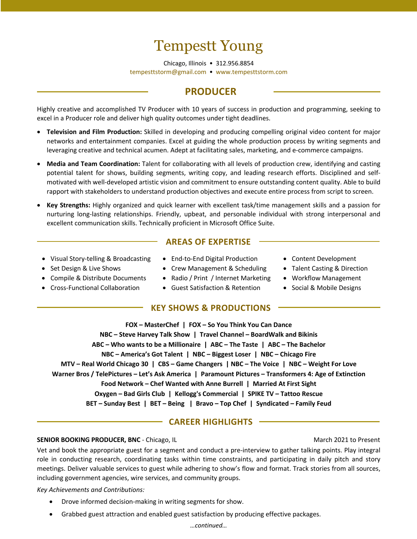# Tempestt Young

Chicago, Illinois • 312.956.8854 tempesttstorm@gmail.com • www.tempesttstorm.com

### **PRODUCER**

Highly creative and accomplished TV Producer with 10 years of success in production and programming, seeking to excel in a Producer role and deliver high quality outcomes under tight deadlines.

- **Television and Film Production:** Skilled in developing and producing compelling original video content for major networks and entertainment companies. Excel at guiding the whole production process by writing segments and leveraging creative and technical acumen. Adept at facilitating sales, marketing, and e-commerce campaigns.
- **Media and Team Coordination:** Talent for collaborating with all levels of production crew, identifying and casting potential talent for shows, building segments, writing copy, and leading research efforts. Disciplined and selfmotivated with well-developed artistic vision and commitment to ensure outstanding content quality. Able to build rapport with stakeholders to understand production objectives and execute entire process from script to screen.
- **Key Strengths:** Highly organized and quick learner with excellent task/time management skills and a passion for nurturing long-lasting relationships. Friendly, upbeat, and personable individual with strong interpersonal and excellent communication skills. Technically proficient in Microsoft Office Suite.
	- Visual Story-telling & Broadcasting End-to-End Digital Production Content Development
- 
- 
- 
- **AREAS OF EXPERTISE**
- 
- Set Design & Live Shows Crew Management & Scheduling Talent Casting & Direction
- Compile & Distribute Documents Radio / Print / Internet Marketing Workflow Management
- Cross-Functional Collaboration Guest Satisfaction & Retention Social & Mobile Designs

#### **KEY SHOWS & PRODUCTIONS**

- 
- 
- 
- 

**FOX – MasterChef | FOX – So You Think You Can Dance NBC – Steve Harvey Talk Show | Travel Channel – BoardWalk and Bikinis ABC – Who wants to be a Millionaire | ABC – The Taste | ABC – The Bachelor NBC – America's Got Talent | NBC – Biggest Loser | NBC – Chicago Fire MTV – Real World Chicago 30 | CBS – Game Changers | NBC – The Voice | NBC – Weight For Love Warner Bros / TelePictures – Let's Ask America | Paramount Pictures – Transformers 4: Age of Extinction Food Network – Chef Wanted with Anne Burrell | Married At First Sight Oxygen – Bad Girls Club | Kellogg's Commercial | SPIKE TV – Tattoo Rescue BET – Sunday Best | BET – Being | Bravo – Top Chef | Syndicated – Family Feud**

### **CAREER HIGHLIGHTS**

#### **SENIOR BOOKING PRODUCER, BNC** - Chicago, IL March 2021 to Present

Vet and book the appropriate guest for a segment and conduct a pre-interview to gather talking points. Play integral role in conducting research, coordinating tasks within time constraints, and participating in daily pitch and story meetings. Deliver valuable services to guest while adhering to show's flow and format. Track stories from all sources, including government agencies, wire services, and community groups.

*Key Achievements and Contributions:*

- Drove informed decision-making in writing segments for show.
- Grabbed guest attraction and enabled guest satisfaction by producing effective packages.